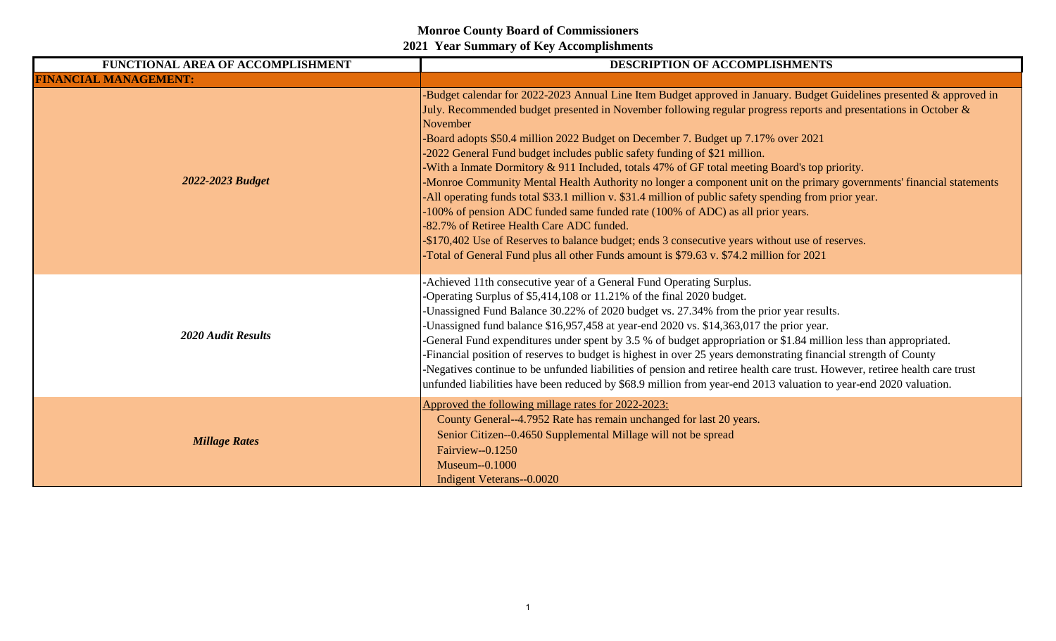| FUNCTIONAL AREA OF ACCOMPLISHMENT | DESCRIPTION OF ACCOMPLISHMENTS                                                                                                                                                                                                                                                                                                                                                                                                                                                                                                                                                                                                                                                                                                                                                                                                                                                                                                                                                                                                                                                        |
|-----------------------------------|---------------------------------------------------------------------------------------------------------------------------------------------------------------------------------------------------------------------------------------------------------------------------------------------------------------------------------------------------------------------------------------------------------------------------------------------------------------------------------------------------------------------------------------------------------------------------------------------------------------------------------------------------------------------------------------------------------------------------------------------------------------------------------------------------------------------------------------------------------------------------------------------------------------------------------------------------------------------------------------------------------------------------------------------------------------------------------------|
| <b>FINANCIAL MANAGEMENT:</b>      |                                                                                                                                                                                                                                                                                                                                                                                                                                                                                                                                                                                                                                                                                                                                                                                                                                                                                                                                                                                                                                                                                       |
| 2022-2023 Budget                  | Budget calendar for 2022-2023 Annual Line Item Budget approved in January. Budget Guidelines presented & approved in<br>July. Recommended budget presented in November following regular progress reports and presentations in October &<br>November<br>Board adopts \$50.4 million 2022 Budget on December 7. Budget up 7.17% over 2021<br>-2022 General Fund budget includes public safety funding of \$21 million.<br>With a Inmate Dormitory & 911 Included, totals 47% of GF total meeting Board's top priority.<br>-Monroe Community Mental Health Authority no longer a component unit on the primary governments' financial statements<br>-All operating funds total \$33.1 million v. \$31.4 million of public safety spending from prior year.<br>-100% of pension ADC funded same funded rate (100% of ADC) as all prior years.<br>-82.7% of Retiree Health Care ADC funded.<br>-\$170,402 Use of Reserves to balance budget; ends 3 consecutive years without use of reserves.<br>Total of General Fund plus all other Funds amount is \$79.63 v. \$74.2 million for 2021 |
| <b>2020 Audit Results</b>         | -Achieved 11th consecutive year of a General Fund Operating Surplus.<br>-Operating Surplus of \$5,414,108 or 11.21% of the final 2020 budget.<br>-Unassigned Fund Balance 30.22% of 2020 budget vs. 27.34% from the prior year results.<br>Unassigned fund balance \$16,957,458 at year-end 2020 vs. \$14,363,017 the prior year.<br>-General Fund expenditures under spent by 3.5 % of budget appropriation or \$1.84 million less than appropriated.<br>-Financial position of reserves to budget is highest in over 25 years demonstrating financial strength of County<br>-Negatives continue to be unfunded liabilities of pension and retiree health care trust. However, retiree health care trust<br>unfunded liabilities have been reduced by \$68.9 million from year-end 2013 valuation to year-end 2020 valuation.                                                                                                                                                                                                                                                        |
| <b>Millage Rates</b>              | Approved the following millage rates for 2022-2023:<br>County General--4.7952 Rate has remain unchanged for last 20 years.<br>Senior Citizen--0.4650 Supplemental Millage will not be spread<br>Fairview--0.1250<br>Museum--0.1000<br><b>Indigent Veterans--0.0020</b>                                                                                                                                                                                                                                                                                                                                                                                                                                                                                                                                                                                                                                                                                                                                                                                                                |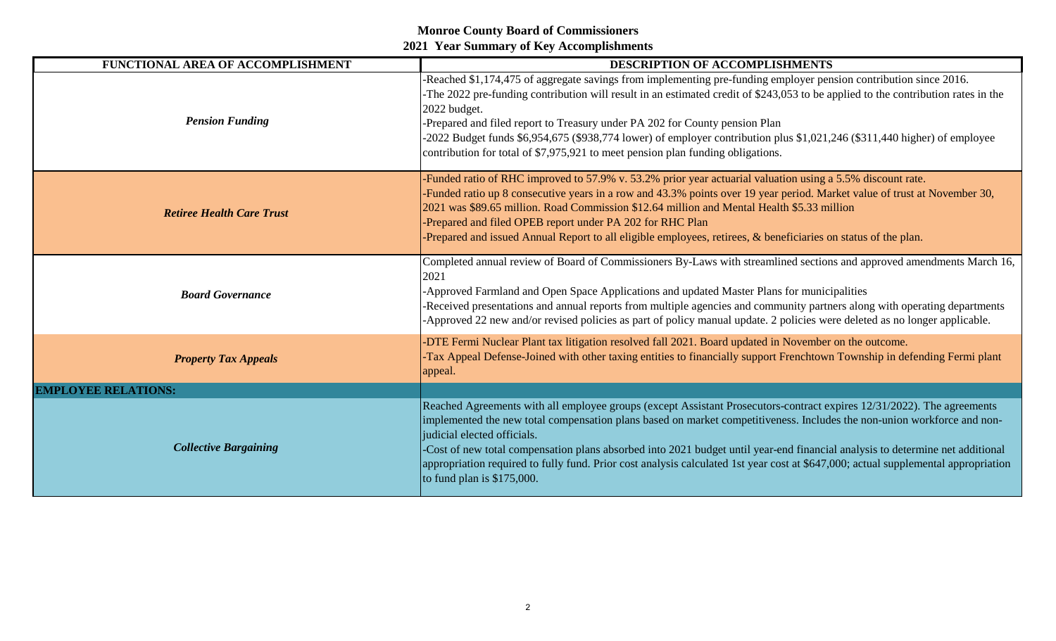| FUNCTIONAL AREA OF ACCOMPLISHMENT | DESCRIPTION OF ACCOMPLISHMENTS                                                                                                                                                                                                                                                                                                                                                                                                                                                                                                                                                          |
|-----------------------------------|-----------------------------------------------------------------------------------------------------------------------------------------------------------------------------------------------------------------------------------------------------------------------------------------------------------------------------------------------------------------------------------------------------------------------------------------------------------------------------------------------------------------------------------------------------------------------------------------|
| <b>Pension Funding</b>            | -Reached \$1,174,475 of aggregate savings from implementing pre-funding employer pension contribution since 2016.<br>-The 2022 pre-funding contribution will result in an estimated credit of \$243,053 to be applied to the contribution rates in the<br>2022 budget.<br>-Prepared and filed report to Treasury under PA 202 for County pension Plan<br>-2022 Budget funds \$6,954,675 (\$938,774 lower) of employer contribution plus \$1,021,246 (\$311,440 higher) of employee<br>contribution for total of \$7,975,921 to meet pension plan funding obligations.                   |
| <b>Retiree Health Care Trust</b>  | -Funded ratio of RHC improved to 57.9% v. 53.2% prior year actuarial valuation using a 5.5% discount rate.<br>-Funded ratio up 8 consecutive years in a row and 43.3% points over 19 year period. Market value of trust at November 30,<br>2021 was \$89.65 million. Road Commission \$12.64 million and Mental Health \$5.33 million<br>-Prepared and filed OPEB report under PA 202 for RHC Plan<br>-Prepared and issued Annual Report to all eligible employees, retirees, & beneficiaries on status of the plan.                                                                    |
| <b>Board Governance</b>           | Completed annual review of Board of Commissioners By-Laws with streamlined sections and approved amendments March 16,<br>2021<br>-Approved Farmland and Open Space Applications and updated Master Plans for municipalities<br>-Received presentations and annual reports from multiple agencies and community partners along with operating departments<br>-Approved 22 new and/or revised policies as part of policy manual update. 2 policies were deleted as no longer applicable.                                                                                                  |
| <b>Property Tax Appeals</b>       | -DTE Fermi Nuclear Plant tax litigation resolved fall 2021. Board updated in November on the outcome.<br>-Tax Appeal Defense-Joined with other taxing entities to financially support Frenchtown Township in defending Fermi plant<br>appeal.                                                                                                                                                                                                                                                                                                                                           |
| <b>EMPLOYEE RELATIONS:</b>        |                                                                                                                                                                                                                                                                                                                                                                                                                                                                                                                                                                                         |
| <b>Collective Bargaining</b>      | Reached Agreements with all employee groups (except Assistant Prosecutors-contract expires 12/31/2022). The agreements<br>implemented the new total compensation plans based on market competitiveness. Includes the non-union workforce and non-<br>judicial elected officials.<br>-Cost of new total compensation plans absorbed into 2021 budget until year-end financial analysis to determine net additional<br>appropriation required to fully fund. Prior cost analysis calculated 1st year cost at \$647,000; actual supplemental appropriation<br>to fund plan is $$175,000$ . |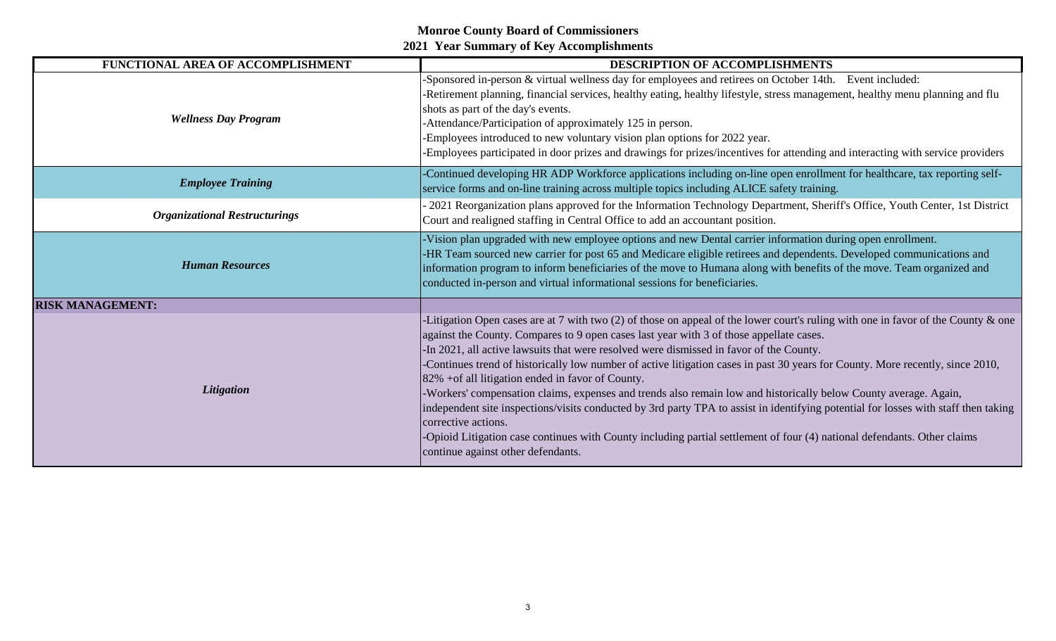| FUNCTIONAL AREA OF ACCOMPLISHMENT    | DESCRIPTION OF ACCOMPLISHMENTS                                                                                                                                                                                                                                                                                                                                                                                                                                                                                                                                                                                                                                                                                                                                                                                                                                                                                                                                       |
|--------------------------------------|----------------------------------------------------------------------------------------------------------------------------------------------------------------------------------------------------------------------------------------------------------------------------------------------------------------------------------------------------------------------------------------------------------------------------------------------------------------------------------------------------------------------------------------------------------------------------------------------------------------------------------------------------------------------------------------------------------------------------------------------------------------------------------------------------------------------------------------------------------------------------------------------------------------------------------------------------------------------|
| <b>Wellness Day Program</b>          | Sponsored in-person & virtual wellness day for employees and retirees on October 14th. Event included:<br>-Retirement planning, financial services, healthy eating, healthy lifestyle, stress management, healthy menu planning and flu<br>shots as part of the day's events.<br>-Attendance/Participation of approximately 125 in person.<br>-Employees introduced to new voluntary vision plan options for 2022 year.<br>-Employees participated in door prizes and drawings for prizes/incentives for attending and interacting with service providers                                                                                                                                                                                                                                                                                                                                                                                                            |
| <b>Employee Training</b>             | -Continued developing HR ADP Workforce applications including on-line open enrollment for healthcare, tax reporting self-<br>service forms and on-line training across multiple topics including ALICE safety training.                                                                                                                                                                                                                                                                                                                                                                                                                                                                                                                                                                                                                                                                                                                                              |
| <b>Organizational Restructurings</b> | 2021 Reorganization plans approved for the Information Technology Department, Sheriff's Office, Youth Center, 1st District<br>Court and realigned staffing in Central Office to add an accountant position.                                                                                                                                                                                                                                                                                                                                                                                                                                                                                                                                                                                                                                                                                                                                                          |
| <b>Human Resources</b>               | -Vision plan upgraded with new employee options and new Dental carrier information during open enrollment.<br>-HR Team sourced new carrier for post 65 and Medicare eligible retirees and dependents. Developed communications and<br>information program to inform beneficiaries of the move to Humana along with benefits of the move. Team organized and<br>conducted in-person and virtual informational sessions for beneficiaries.                                                                                                                                                                                                                                                                                                                                                                                                                                                                                                                             |
| <b>RISK MANAGEMENT:</b>              |                                                                                                                                                                                                                                                                                                                                                                                                                                                                                                                                                                                                                                                                                                                                                                                                                                                                                                                                                                      |
| Litigation                           | -Litigation Open cases are at 7 with two $(2)$ of those on appeal of the lower court's ruling with one in favor of the County & one<br>against the County. Compares to 9 open cases last year with 3 of those appellate cases.<br>-In 2021, all active lawsuits that were resolved were dismissed in favor of the County.<br>-Continues trend of historically low number of active litigation cases in past 30 years for County. More recently, since 2010,<br>82% + of all litigation ended in favor of County.<br>-Workers' compensation claims, expenses and trends also remain low and historically below County average. Again,<br>independent site inspections/visits conducted by 3rd party TPA to assist in identifying potential for losses with staff then taking<br>corrective actions.<br>-Opioid Litigation case continues with County including partial settlement of four (4) national defendants. Other claims<br>continue against other defendants. |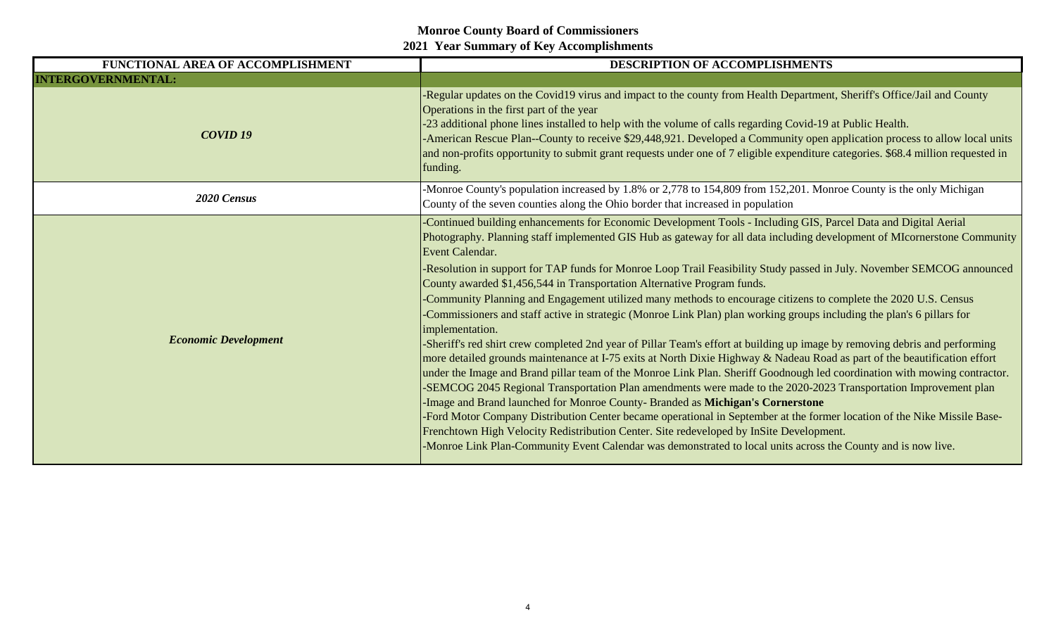| FUNCTIONAL AREA OF ACCOMPLISHMENT | DESCRIPTION OF ACCOMPLISHMENTS                                                                                                                                                                                                                                                                                                                                                                                                                                                                                                                                                                                                                                                                                                                                                                                                                                                                                                                                                                                                                                                                                                                                                                                                                                                                                                                                                                                                                                                                                                                                                                                                                                           |
|-----------------------------------|--------------------------------------------------------------------------------------------------------------------------------------------------------------------------------------------------------------------------------------------------------------------------------------------------------------------------------------------------------------------------------------------------------------------------------------------------------------------------------------------------------------------------------------------------------------------------------------------------------------------------------------------------------------------------------------------------------------------------------------------------------------------------------------------------------------------------------------------------------------------------------------------------------------------------------------------------------------------------------------------------------------------------------------------------------------------------------------------------------------------------------------------------------------------------------------------------------------------------------------------------------------------------------------------------------------------------------------------------------------------------------------------------------------------------------------------------------------------------------------------------------------------------------------------------------------------------------------------------------------------------------------------------------------------------|
| <b>INTERGOVERNMENTAL:</b>         |                                                                                                                                                                                                                                                                                                                                                                                                                                                                                                                                                                                                                                                                                                                                                                                                                                                                                                                                                                                                                                                                                                                                                                                                                                                                                                                                                                                                                                                                                                                                                                                                                                                                          |
| COVID <sub>19</sub>               | -Regular updates on the Covid19 virus and impact to the county from Health Department, Sheriff's Office/Jail and County<br>Operations in the first part of the year<br>-23 additional phone lines installed to help with the volume of calls regarding Covid-19 at Public Health.<br>-American Rescue Plan--County to receive \$29,448,921. Developed a Community open application process to allow local units<br>and non-profits opportunity to submit grant requests under one of 7 eligible expenditure categories. \$68.4 million requested in<br>funding.                                                                                                                                                                                                                                                                                                                                                                                                                                                                                                                                                                                                                                                                                                                                                                                                                                                                                                                                                                                                                                                                                                          |
| 2020 Census                       | -Monroe County's population increased by 1.8% or 2,778 to 154,809 from 152,201. Monroe County is the only Michigan<br>County of the seven counties along the Ohio border that increased in population                                                                                                                                                                                                                                                                                                                                                                                                                                                                                                                                                                                                                                                                                                                                                                                                                                                                                                                                                                                                                                                                                                                                                                                                                                                                                                                                                                                                                                                                    |
| <b>Economic Development</b>       | -Continued building enhancements for Economic Development Tools - Including GIS, Parcel Data and Digital Aerial<br>Photography. Planning staff implemented GIS Hub as gateway for all data including development of MIcornerstone Community<br>Event Calendar.<br>-Resolution in support for TAP funds for Monroe Loop Trail Feasibility Study passed in July. November SEMCOG announced<br>County awarded \$1,456,544 in Transportation Alternative Program funds.<br>-Community Planning and Engagement utilized many methods to encourage citizens to complete the 2020 U.S. Census<br>-Commissioners and staff active in strategic (Monroe Link Plan) plan working groups including the plan's 6 pillars for<br>implementation.<br>-Sheriff's red shirt crew completed 2nd year of Pillar Team's effort at building up image by removing debris and performing<br>more detailed grounds maintenance at I-75 exits at North Dixie Highway & Nadeau Road as part of the beautification effort<br>under the Image and Brand pillar team of the Monroe Link Plan. Sheriff Goodnough led coordination with mowing contractor.<br>-SEMCOG 2045 Regional Transportation Plan amendments were made to the 2020-2023 Transportation Improvement plan<br>-Image and Brand launched for Monroe County-Branded as Michigan's Cornerstone<br>-Ford Motor Company Distribution Center became operational in September at the former location of the Nike Missile Base-<br>Frenchtown High Velocity Redistribution Center. Site redeveloped by InSite Development.<br>-Monroe Link Plan-Community Event Calendar was demonstrated to local units across the County and is now live. |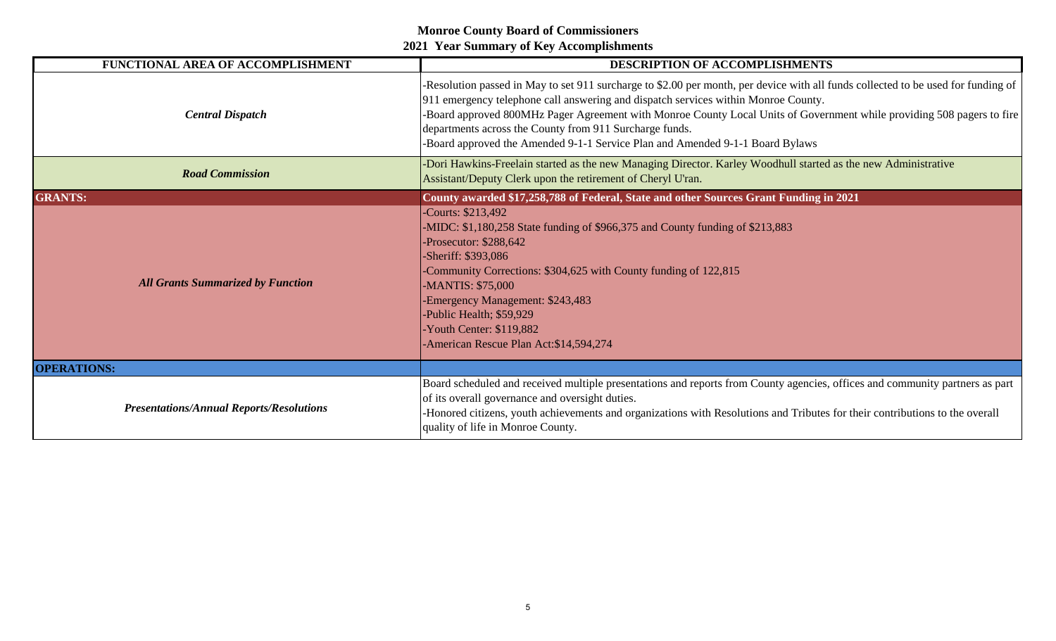| FUNCTIONAL AREA OF ACCOMPLISHMENT               | DESCRIPTION OF ACCOMPLISHMENTS                                                                                                                                                                                                                                                                                                                                                                                                                                                                |
|-------------------------------------------------|-----------------------------------------------------------------------------------------------------------------------------------------------------------------------------------------------------------------------------------------------------------------------------------------------------------------------------------------------------------------------------------------------------------------------------------------------------------------------------------------------|
| <b>Central Dispatch</b>                         | -Resolution passed in May to set 911 surcharge to \$2.00 per month, per device with all funds collected to be used for funding of<br>911 emergency telephone call answering and dispatch services within Monroe County.<br>-Board approved 800MHz Pager Agreement with Monroe County Local Units of Government while providing 508 pagers to fire<br>departments across the County from 911 Surcharge funds.<br>-Board approved the Amended 9-1-1 Service Plan and Amended 9-1-1 Board Bylaws |
| <b>Road Commission</b>                          | -Dori Hawkins-Freelain started as the new Managing Director. Karley Woodhull started as the new Administrative<br>Assistant/Deputy Clerk upon the retirement of Cheryl U'ran.                                                                                                                                                                                                                                                                                                                 |
| <b>GRANTS:</b>                                  | County awarded \$17,258,788 of Federal, State and other Sources Grant Funding in 2021                                                                                                                                                                                                                                                                                                                                                                                                         |
| <b>All Grants Summarized by Function</b>        | -Courts: \$213,492<br>-MIDC: \$1,180,258 State funding of \$966,375 and County funding of \$213,883<br>-Prosecutor: \$288,642<br>-Sheriff: \$393,086<br>-Community Corrections: \$304,625 with County funding of 122,815<br>-MANTIS: \$75,000<br>-Emergency Management: \$243,483<br>-Public Health; \$59,929<br>-Youth Center: \$119,882<br>-American Rescue Plan Act: \$14,594,274                                                                                                          |
| <b>OPERATIONS:</b>                              |                                                                                                                                                                                                                                                                                                                                                                                                                                                                                               |
| <b>Presentations/Annual Reports/Resolutions</b> | Board scheduled and received multiple presentations and reports from County agencies, offices and community partners as part<br>of its overall governance and oversight duties.<br>-Honored citizens, youth achievements and organizations with Resolutions and Tributes for their contributions to the overall<br>quality of life in Monroe County.                                                                                                                                          |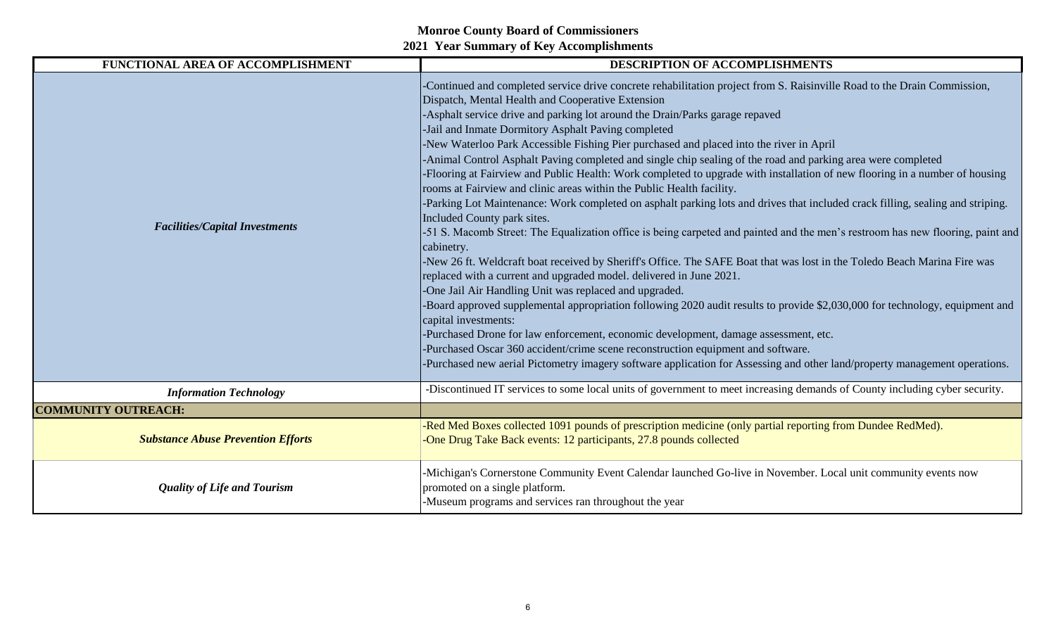| FUNCTIONAL AREA OF ACCOMPLISHMENT         | <b>DESCRIPTION OF ACCOMPLISHMENTS</b>                                                                                                                                                                                                                                                                                                                                                                                                                                                                                                                                                                                                                                                                                                                                                                                                                                                                                                                                                                                                                                                                                                                                                                                                                                                                                                                                                                                                                                                                                                                                                                                                                                                                                                                                                  |
|-------------------------------------------|----------------------------------------------------------------------------------------------------------------------------------------------------------------------------------------------------------------------------------------------------------------------------------------------------------------------------------------------------------------------------------------------------------------------------------------------------------------------------------------------------------------------------------------------------------------------------------------------------------------------------------------------------------------------------------------------------------------------------------------------------------------------------------------------------------------------------------------------------------------------------------------------------------------------------------------------------------------------------------------------------------------------------------------------------------------------------------------------------------------------------------------------------------------------------------------------------------------------------------------------------------------------------------------------------------------------------------------------------------------------------------------------------------------------------------------------------------------------------------------------------------------------------------------------------------------------------------------------------------------------------------------------------------------------------------------------------------------------------------------------------------------------------------------|
| <b>Facilities/Capital Investments</b>     | -Continued and completed service drive concrete rehabilitation project from S. Raisinville Road to the Drain Commission,<br>Dispatch, Mental Health and Cooperative Extension<br>-Asphalt service drive and parking lot around the Drain/Parks garage repaved<br>-Jail and Inmate Dormitory Asphalt Paving completed<br>-New Waterloo Park Accessible Fishing Pier purchased and placed into the river in April<br>-Animal Control Asphalt Paving completed and single chip sealing of the road and parking area were completed<br>-Flooring at Fairview and Public Health: Work completed to upgrade with installation of new flooring in a number of housing<br>rooms at Fairview and clinic areas within the Public Health facility.<br>-Parking Lot Maintenance: Work completed on asphalt parking lots and drives that included crack filling, sealing and striping.<br>Included County park sites.<br>-51 S. Macomb Street: The Equalization office is being carpeted and painted and the men's restroom has new flooring, paint and<br>cabinetry.<br>-New 26 ft. Weldcraft boat received by Sheriff's Office. The SAFE Boat that was lost in the Toledo Beach Marina Fire was<br>replaced with a current and upgraded model. delivered in June 2021.<br>-One Jail Air Handling Unit was replaced and upgraded.<br>-Board approved supplemental appropriation following 2020 audit results to provide \$2,030,000 for technology, equipment and<br>capital investments:<br>-Purchased Drone for law enforcement, economic development, damage assessment, etc.<br>-Purchased Oscar 360 accident/crime scene reconstruction equipment and software.<br>-Purchased new aerial Pictometry imagery software application for Assessing and other land/property management operations. |
| <b>Information Technology</b>             | -Discontinued IT services to some local units of government to meet increasing demands of County including cyber security.                                                                                                                                                                                                                                                                                                                                                                                                                                                                                                                                                                                                                                                                                                                                                                                                                                                                                                                                                                                                                                                                                                                                                                                                                                                                                                                                                                                                                                                                                                                                                                                                                                                             |
| <b>COMMUNITY OUTREACH:</b>                |                                                                                                                                                                                                                                                                                                                                                                                                                                                                                                                                                                                                                                                                                                                                                                                                                                                                                                                                                                                                                                                                                                                                                                                                                                                                                                                                                                                                                                                                                                                                                                                                                                                                                                                                                                                        |
| <b>Substance Abuse Prevention Efforts</b> | -Red Med Boxes collected 1091 pounds of prescription medicine (only partial reporting from Dundee RedMed).<br>-One Drug Take Back events: 12 participants, 27.8 pounds collected                                                                                                                                                                                                                                                                                                                                                                                                                                                                                                                                                                                                                                                                                                                                                                                                                                                                                                                                                                                                                                                                                                                                                                                                                                                                                                                                                                                                                                                                                                                                                                                                       |
| <b>Quality of Life and Tourism</b>        | -Michigan's Cornerstone Community Event Calendar launched Go-live in November. Local unit community events now<br>promoted on a single platform.<br>-Museum programs and services ran throughout the year                                                                                                                                                                                                                                                                                                                                                                                                                                                                                                                                                                                                                                                                                                                                                                                                                                                                                                                                                                                                                                                                                                                                                                                                                                                                                                                                                                                                                                                                                                                                                                              |